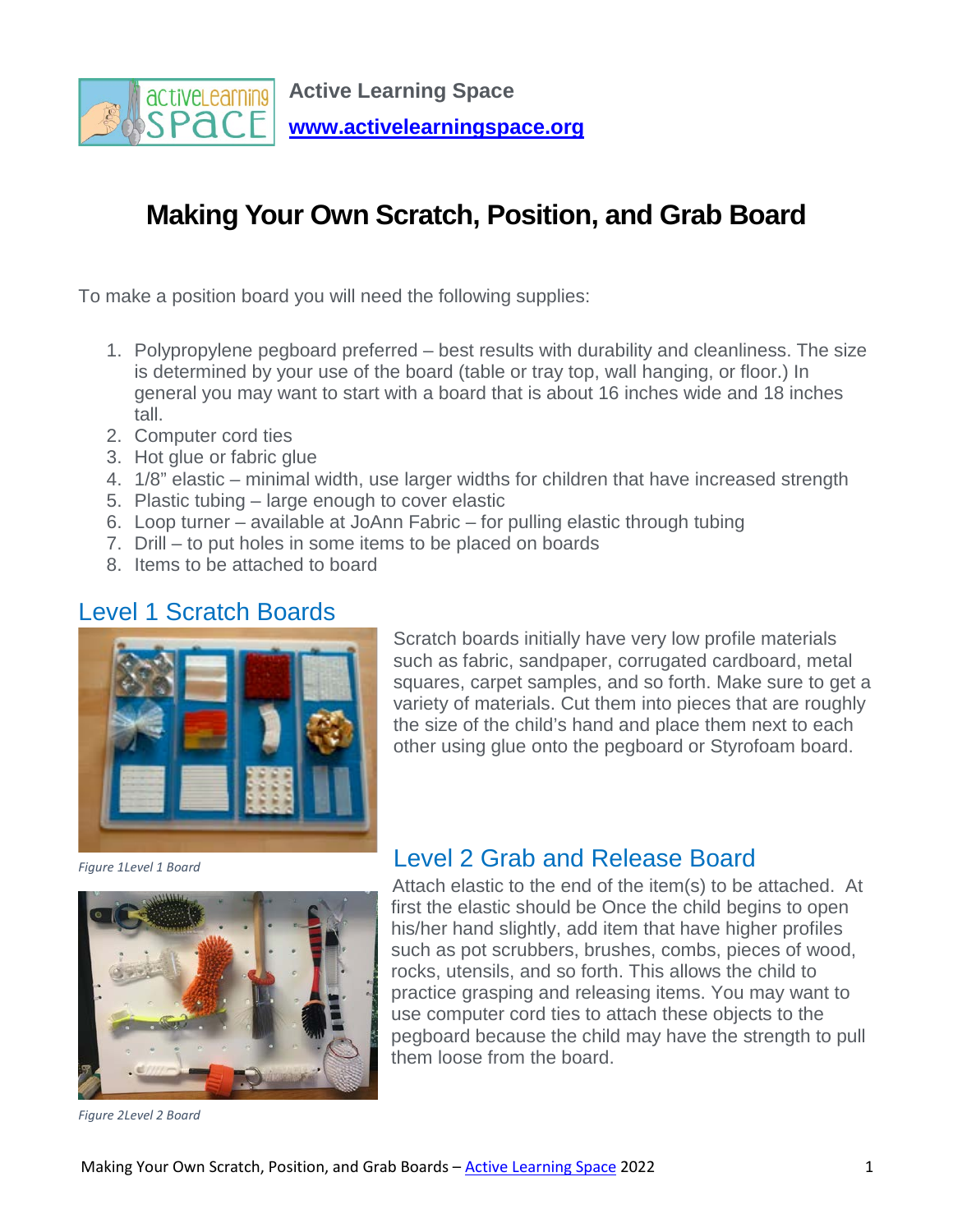

# **Making Your Own Scratch, Position, and Grab Board**

To make a position board you will need the following supplies:

- 1. Polypropylene pegboard preferred best results with durability and cleanliness. The size is determined by your use of the board (table or tray top, wall hanging, or floor.) In general you may want to start with a board that is about 16 inches wide and 18 inches tall.
- 2. Computer cord ties
- 3. Hot glue or fabric glue
- 4. 1/8" elastic minimal width, use larger widths for children that have increased strength
- 5. Plastic tubing large enough to cover elastic
- 6. Loop turner available at JoAnn Fabric for pulling elastic through tubing
- 7. Drill to put holes in some items to be placed on boards
- 8. Items to be attached to board

#### Level 1 Scratch Boards



Scratch boards initially have very low profile materials such as fabric, sandpaper, corrugated cardboard, metal squares, carpet samples, and so forth. Make sure to get a variety of materials. Cut them into pieces that are roughly the size of the child's hand and place them next to each other using glue onto the pegboard or Styrofoam board.

*Figure 1Level 1 Board*



### Level 2 Grab and Release Board

Attach elastic to the end of the item(s) to be attached. At first the elastic should be Once the child begins to open his/her hand slightly, add item that have higher profiles such as pot scrubbers, brushes, combs, pieces of wood, rocks, utensils, and so forth. This allows the child to practice grasping and releasing items. You may want to use computer cord ties to attach these objects to the pegboard because the child may have the strength to pull them loose from the board.

*Figure 2Level 2 Board*